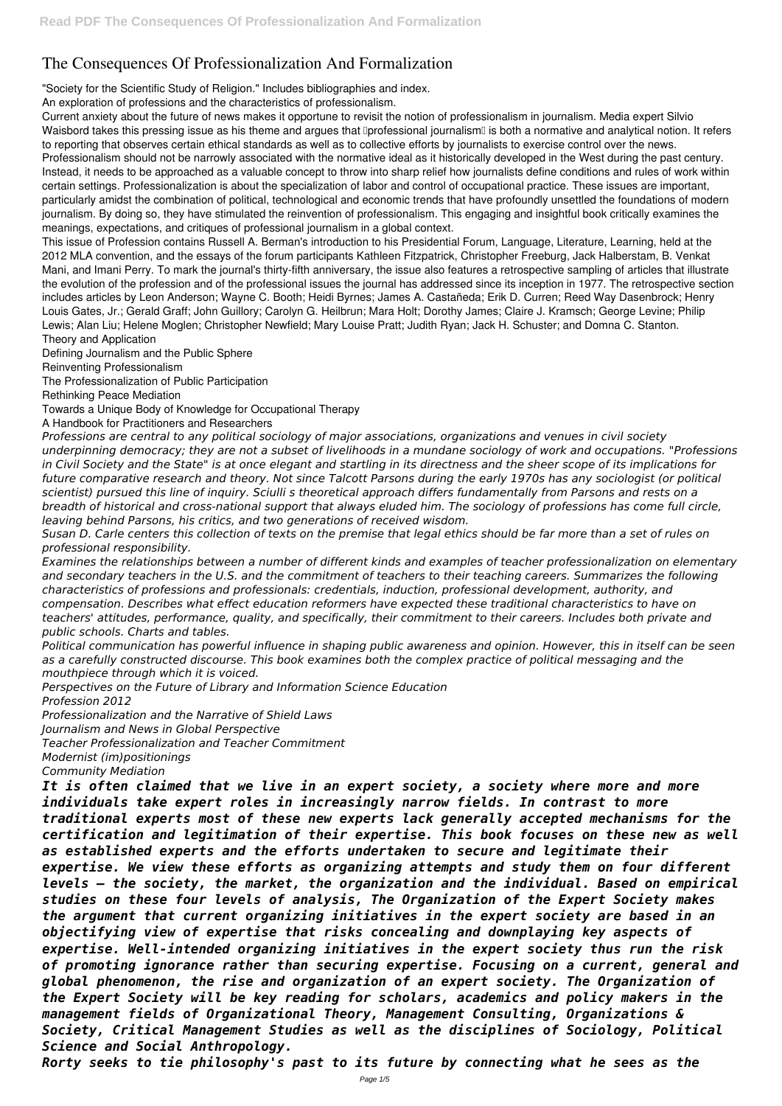## **The Consequences Of Professionalization And Formalization**

"Society for the Scientific Study of Religion." Includes bibliographies and index.

An exploration of professions and the characteristics of professionalism.

Current anxiety about the future of news makes it opportune to revisit the notion of professionalism in journalism. Media expert Silvio Waisbord takes this pressing issue as his theme and argues that **Iprofessional journalism** is both a normative and analytical notion. It refers to reporting that observes certain ethical standards as well as to collective efforts by journalists to exercise control over the news. Professionalism should not be narrowly associated with the normative ideal as it historically developed in the West during the past century. Instead, it needs to be approached as a valuable concept to throw into sharp relief how journalists define conditions and rules of work within certain settings. Professionalization is about the specialization of labor and control of occupational practice. These issues are important, particularly amidst the combination of political, technological and economic trends that have profoundly unsettled the foundations of modern journalism. By doing so, they have stimulated the reinvention of professionalism. This engaging and insightful book critically examines the meanings, expectations, and critiques of professional journalism in a global context.

This issue of Profession contains Russell A. Berman's introduction to his Presidential Forum, Language, Literature, Learning, held at the 2012 MLA convention, and the essays of the forum participants Kathleen Fitzpatrick, Christopher Freeburg, Jack Halberstam, B. Venkat Mani, and Imani Perry. To mark the journal's thirty-fifth anniversary, the issue also features a retrospective sampling of articles that illustrate the evolution of the profession and of the professional issues the journal has addressed since its inception in 1977. The retrospective section includes articles by Leon Anderson; Wayne C. Booth; Heidi Byrnes; James A. Castañeda; Erik D. Curren; Reed Way Dasenbrock; Henry Louis Gates, Jr.; Gerald Graff; John Guillory; Carolyn G. Heilbrun; Mara Holt; Dorothy James; Claire J. Kramsch; George Levine; Philip Lewis; Alan Liu; Helene Moglen; Christopher Newfield; Mary Louise Pratt; Judith Ryan; Jack H. Schuster; and Domna C. Stanton. Theory and Application

Defining Journalism and the Public Sphere

Reinventing Professionalism

The Professionalization of Public Participation

Rethinking Peace Mediation

Towards a Unique Body of Knowledge for Occupational Therapy

A Handbook for Practitioners and Researchers

*Professions are central to any political sociology of major associations, organizations and venues in civil society underpinning democracy; they are not a subset of livelihoods in a mundane sociology of work and occupations. "Professions in Civil Society and the State" is at once elegant and startling in its directness and the sheer scope of its implications for future comparative research and theory. Not since Talcott Parsons during the early 1970s has any sociologist (or political scientist) pursued this line of inquiry. Sciulli s theoretical approach differs fundamentally from Parsons and rests on a breadth of historical and cross-national support that always eluded him. The sociology of professions has come full circle, leaving behind Parsons, his critics, and two generations of received wisdom.*

*Susan D. Carle centers this collection of texts on the premise that legal ethics should be far more than a set of rules on professional responsibility.*

*Examines the relationships between a number of different kinds and examples of teacher professionalization on elementary and secondary teachers in the U.S. and the commitment of teachers to their teaching careers. Summarizes the following characteristics of professions and professionals: credentials, induction, professional development, authority, and compensation. Describes what effect education reformers have expected these traditional characteristics to have on teachers' attitudes, performance, quality, and specifically, their commitment to their careers. Includes both private and public schools. Charts and tables.*

*Political communication has powerful influence in shaping public awareness and opinion. However, this in itself can be seen as a carefully constructed discourse. This book examines both the complex practice of political messaging and the mouthpiece through which it is voiced.*

*Perspectives on the Future of Library and Information Science Education Profession 2012*

*Professionalization and the Narrative of Shield Laws*

*Journalism and News in Global Perspective*

*Teacher Professionalization and Teacher Commitment*

*Modernist (im)positionings*

*Community Mediation*

*It is often claimed that we live in an expert society, a society where more and more individuals take expert roles in increasingly narrow fields. In contrast to more traditional experts most of these new experts lack generally accepted mechanisms for the certification and legitimation of their expertise. This book focuses on these new as well as established experts and the efforts undertaken to secure and legitimate their expertise. We view these efforts as organizing attempts and study them on four different levels – the society, the market, the organization and the individual. Based on empirical studies on these four levels of analysis, The Organization of the Expert Society makes the argument that current organizing initiatives in the expert society are based in an objectifying view of expertise that risks concealing and downplaying key aspects of expertise. Well-intended organizing initiatives in the expert society thus run the risk of promoting ignorance rather than securing expertise. Focusing on a current, general and global phenomenon, the rise and organization of an expert society. The Organization of the Expert Society will be key reading for scholars, academics and policy makers in the management fields of Organizational Theory, Management Consulting, Organizations & Society, Critical Management Studies as well as the disciplines of Sociology, Political Science and Social Anthropology. Rorty seeks to tie philosophy's past to its future by connecting what he sees as the*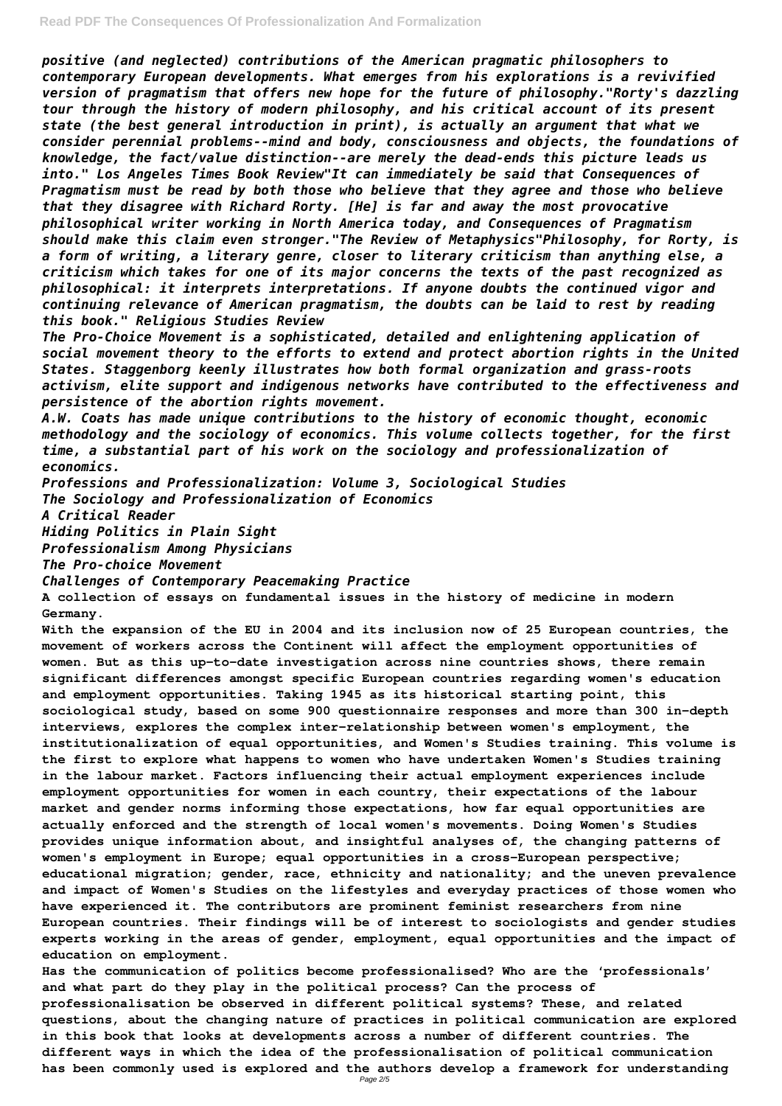*positive (and neglected) contributions of the American pragmatic philosophers to contemporary European developments. What emerges from his explorations is a revivified version of pragmatism that offers new hope for the future of philosophy."Rorty's dazzling tour through the history of modern philosophy, and his critical account of its present state (the best general introduction in print), is actually an argument that what we consider perennial problems--mind and body, consciousness and objects, the foundations of knowledge, the fact/value distinction--are merely the dead-ends this picture leads us into." Los Angeles Times Book Review"It can immediately be said that Consequences of Pragmatism must be read by both those who believe that they agree and those who believe that they disagree with Richard Rorty. [He] is far and away the most provocative philosophical writer working in North America today, and Consequences of Pragmatism should make this claim even stronger."The Review of Metaphysics"Philosophy, for Rorty, is a form of writing, a literary genre, closer to literary criticism than anything else, a criticism which takes for one of its major concerns the texts of the past recognized as philosophical: it interprets interpretations. If anyone doubts the continued vigor and continuing relevance of American pragmatism, the doubts can be laid to rest by reading this book." Religious Studies Review*

*The Pro-Choice Movement is a sophisticated, detailed and enlightening application of social movement theory to the efforts to extend and protect abortion rights in the United States. Staggenborg keenly illustrates how both formal organization and grass-roots activism, elite support and indigenous networks have contributed to the effectiveness and persistence of the abortion rights movement.*

*A.W. Coats has made unique contributions to the history of economic thought, economic methodology and the sociology of economics. This volume collects together, for the first time, a substantial part of his work on the sociology and professionalization of economics.*

*Professions and Professionalization: Volume 3, Sociological Studies The Sociology and Professionalization of Economics*

*A Critical Reader*

*Hiding Politics in Plain Sight*

*Professionalism Among Physicians*

*The Pro-choice Movement*

*Challenges of Contemporary Peacemaking Practice*

**A collection of essays on fundamental issues in the history of medicine in modern Germany.**

**With the expansion of the EU in 2004 and its inclusion now of 25 European countries, the movement of workers across the Continent will affect the employment opportunities of women. But as this up-to-date investigation across nine countries shows, there remain significant differences amongst specific European countries regarding women's education and employment opportunities. Taking 1945 as its historical starting point, this sociological study, based on some 900 questionnaire responses and more than 300 in-depth interviews, explores the complex inter-relationship between women's employment, the institutionalization of equal opportunities, and Women's Studies training. This volume is the first to explore what happens to women who have undertaken Women's Studies training in the labour market. Factors influencing their actual employment experiences include employment opportunities for women in each country, their expectations of the labour market and gender norms informing those expectations, how far equal opportunities are actually enforced and the strength of local women's movements. Doing Women's Studies**

**provides unique information about, and insightful analyses of, the changing patterns of women's employment in Europe; equal opportunities in a cross-European perspective; educational migration; gender, race, ethnicity and nationality; and the uneven prevalence and impact of Women's Studies on the lifestyles and everyday practices of those women who have experienced it. The contributors are prominent feminist researchers from nine European countries. Their findings will be of interest to sociologists and gender studies experts working in the areas of gender, employment, equal opportunities and the impact of education on employment.**

**Has the communication of politics become professionalised? Who are the 'professionals' and what part do they play in the political process? Can the process of professionalisation be observed in different political systems? These, and related questions, about the changing nature of practices in political communication are explored in this book that looks at developments across a number of different countries. The different ways in which the idea of the professionalisation of political communication has been commonly used is explored and the authors develop a framework for understanding** Page 2/5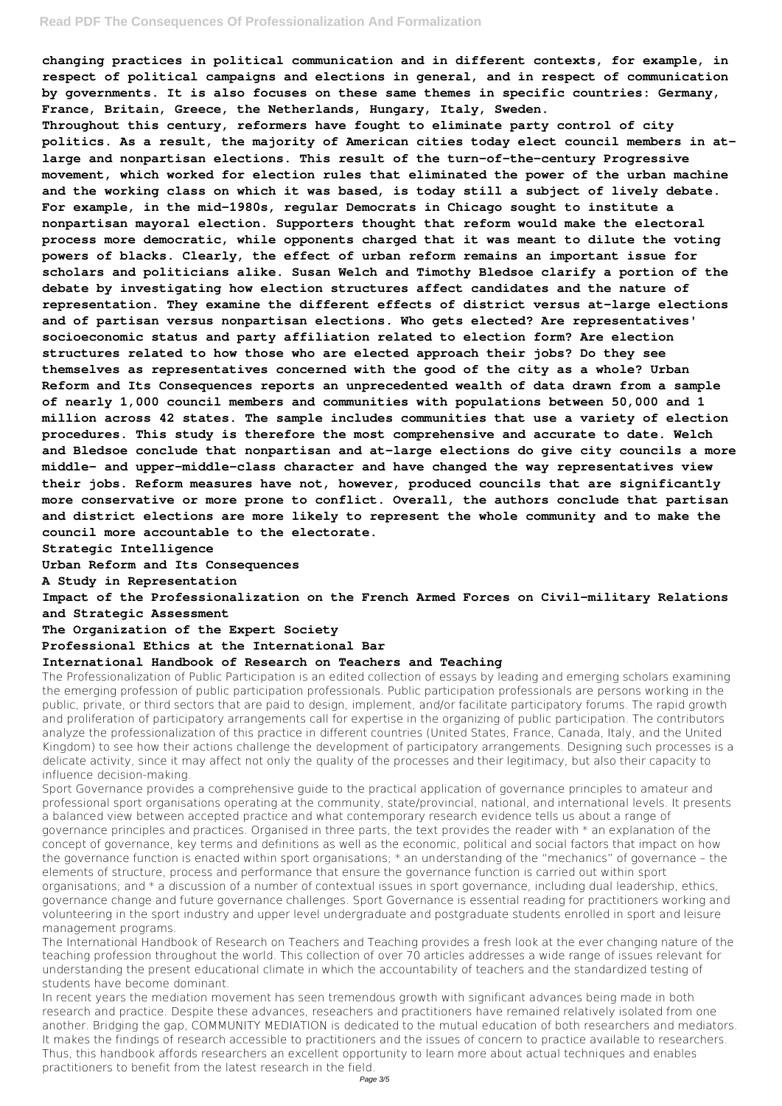## **Read PDF The Consequences Of Professionalization And Formalization**

**changing practices in political communication and in different contexts, for example, in respect of political campaigns and elections in general, and in respect of communication by governments. It is also focuses on these same themes in specific countries: Germany, France, Britain, Greece, the Netherlands, Hungary, Italy, Sweden.**

**Throughout this century, reformers have fought to eliminate party control of city politics. As a result, the majority of American cities today elect council members in atlarge and nonpartisan elections. This result of the turn-of-the-century Progressive movement, which worked for election rules that eliminated the power of the urban machine and the working class on which it was based, is today still a subject of lively debate. For example, in the mid-1980s, regular Democrats in Chicago sought to institute a nonpartisan mayoral election. Supporters thought that reform would make the electoral process more democratic, while opponents charged that it was meant to dilute the voting powers of blacks. Clearly, the effect of urban reform remains an important issue for scholars and politicians alike. Susan Welch and Timothy Bledsoe clarify a portion of the debate by investigating how election structures affect candidates and the nature of representation. They examine the different effects of district versus at-large elections and of partisan versus nonpartisan elections. Who gets elected? Are representatives' socioeconomic status and party affiliation related to election form? Are election structures related to how those who are elected approach their jobs? Do they see themselves as representatives concerned with the good of the city as a whole? Urban Reform and Its Consequences reports an unprecedented wealth of data drawn from a sample of nearly 1,000 council members and communities with populations between 50,000 and 1 million across 42 states. The sample includes communities that use a variety of election procedures. This study is therefore the most comprehensive and accurate to date. Welch and Bledsoe conclude that nonpartisan and at-large elections do give city councils a more middle- and upper-middle-class character and have changed the way representatives view their jobs. Reform measures have not, however, produced councils that are significantly more conservative or more prone to conflict. Overall, the authors conclude that partisan and district elections are more likely to represent the whole community and to make the council more accountable to the electorate.**

**Strategic Intelligence**

**Urban Reform and Its Consequences**

**A Study in Representation**

**Impact of the Professionalization on the French Armed Forces on Civil-military Relations and Strategic Assessment**

**The Organization of the Expert Society**

**Professional Ethics at the International Bar**

## **International Handbook of Research on Teachers and Teaching**

The Professionalization of Public Participation is an edited collection of essays by leading and emerging scholars examining the emerging profession of public participation professionals. Public participation professionals are persons working in the public, private, or third sectors that are paid to design, implement, and/or facilitate participatory forums. The rapid growth and proliferation of participatory arrangements call for expertise in the organizing of public participation. The contributors analyze the professionalization of this practice in different countries (United States, France, Canada, Italy, and the United Kingdom) to see how their actions challenge the development of participatory arrangements. Designing such processes is a delicate activity, since it may affect not only the quality of the processes and their legitimacy, but also their capacity to influence decision-making.

Sport Governance provides a comprehensive guide to the practical application of governance principles to amateur and professional sport organisations operating at the community, state/provincial, national, and international levels. It presents a balanced view between accepted practice and what contemporary research evidence tells us about a range of governance principles and practices. Organised in three parts, the text provides the reader with \* an explanation of the concept of governance, key terms and definitions as well as the economic, political and social factors that impact on how the governance function is enacted within sport organisations; \* an understanding of the "mechanics" of governance – the elements of structure, process and performance that ensure the governance function is carried out within sport organisations; and \* a discussion of a number of contextual issues in sport governance, including dual leadership, ethics, governance change and future governance challenges. Sport Governance is essential reading for practitioners working and volunteering in the sport industry and upper level undergraduate and postgraduate students enrolled in sport and leisure management programs. The International Handbook of Research on Teachers and Teaching provides a fresh look at the ever changing nature of the teaching profession throughout the world. This collection of over 70 articles addresses a wide range of issues relevant for understanding the present educational climate in which the accountability of teachers and the standardized testing of students have become dominant. In recent years the mediation movement has seen tremendous growth with significant advances being made in both research and practice. Despite these advances, reseachers and practitioners have remained relatively isolated from one another. Bridging the gap, COMMUNITY MEDIATION is dedicated to the mutual education of both researchers and mediators. It makes the findings of research accessible to practitioners and the issues of concern to practice available to researchers. Thus, this handbook affords researchers an excellent opportunity to learn more about actual techniques and enables practitioners to benefit from the latest research in the field.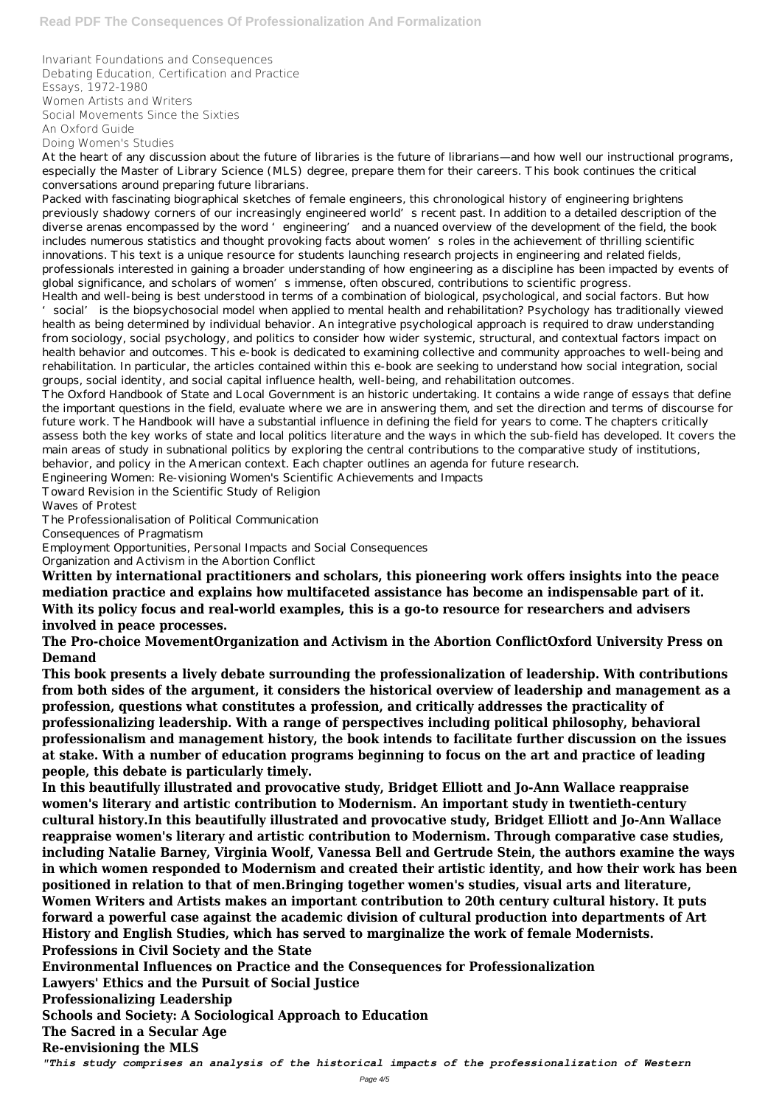Invariant Foundations and Consequences Debating Education, Certification and Practice Essays, 1972-1980 Women Artists and Writers Social Movements Since the Sixties An Oxford Guide Doing Women's Studies

Packed with fascinating biographical sketches of female engineers, this chronological history of engineering brightens previously shadowy corners of our increasingly engineered world's recent past. In addition to a detailed description of the diverse arenas encompassed by the word 'engineering' and a nuanced overview of the development of the field, the book includes numerous statistics and thought provoking facts about women's roles in the achievement of thrilling scientific innovations. This text is a unique resource for students launching research projects in engineering and related fields, professionals interested in gaining a broader understanding of how engineering as a discipline has been impacted by events of global significance, and scholars of women's immense, often obscured, contributions to scientific progress.

At the heart of any discussion about the future of libraries is the future of librarians—and how well our instructional programs, especially the Master of Library Science (MLS) degree, prepare them for their careers. This book continues the critical conversations around preparing future librarians.

Health and well-being is best understood in terms of a combination of biological, psychological, and social factors. But how 'social' is the biopsychosocial model when applied to mental health and rehabilitation? Psychology has traditionally viewed health as being determined by individual behavior. An integrative psychological approach is required to draw understanding from sociology, social psychology, and politics to consider how wider systemic, structural, and contextual factors impact on health behavior and outcomes. This e-book is dedicated to examining collective and community approaches to well-being and rehabilitation. In particular, the articles contained within this e-book are seeking to understand how social integration, social groups, social identity, and social capital influence health, well-being, and rehabilitation outcomes.

The Oxford Handbook of State and Local Government is an historic undertaking. It contains a wide range of essays that define the important questions in the field, evaluate where we are in answering them, and set the direction and terms of discourse for future work. The Handbook will have a substantial influence in defining the field for years to come. The chapters critically assess both the key works of state and local politics literature and the ways in which the sub-field has developed. It covers the main areas of study in subnational politics by exploring the central contributions to the comparative study of institutions, behavior, and policy in the American context. Each chapter outlines an agenda for future research.

Engineering Women: Re-visioning Women's Scientific Achievements and Impacts

Toward Revision in the Scientific Study of Religion

Waves of Protest

The Professionalisation of Political Communication

Consequences of Pragmatism

Employment Opportunities, Personal Impacts and Social Consequences

Organization and Activism in the Abortion Conflict

**Written by international practitioners and scholars, this pioneering work offers insights into the peace mediation practice and explains how multifaceted assistance has become an indispensable part of it. With its policy focus and real-world examples, this is a go-to resource for researchers and advisers involved in peace processes.**

**The Pro-choice MovementOrganization and Activism in the Abortion ConflictOxford University Press on Demand**

**This book presents a lively debate surrounding the professionalization of leadership. With contributions from both sides of the argument, it considers the historical overview of leadership and management as a profession, questions what constitutes a profession, and critically addresses the practicality of professionalizing leadership. With a range of perspectives including political philosophy, behavioral professionalism and management history, the book intends to facilitate further discussion on the issues at stake. With a number of education programs beginning to focus on the art and practice of leading people, this debate is particularly timely.**

**In this beautifully illustrated and provocative study, Bridget Elliott and Jo-Ann Wallace reappraise women's literary and artistic contribution to Modernism. An important study in twentieth-century cultural history.In this beautifully illustrated and provocative study, Bridget Elliott and Jo-Ann Wallace reappraise women's literary and artistic contribution to Modernism. Through comparative case studies, including Natalie Barney, Virginia Woolf, Vanessa Bell and Gertrude Stein, the authors examine the ways in which women responded to Modernism and created their artistic identity, and how their work has been positioned in relation to that of men.Bringing together women's studies, visual arts and literature, Women Writers and Artists makes an important contribution to 20th century cultural history. It puts forward a powerful case against the academic division of cultural production into departments of Art History and English Studies, which has served to marginalize the work of female Modernists. Professions in Civil Society and the State Environmental Influences on Practice and the Consequences for Professionalization Lawyers' Ethics and the Pursuit of Social Justice Professionalizing Leadership Schools and Society: A Sociological Approach to Education The Sacred in a Secular Age Re-envisioning the MLS** *"This study comprises an analysis of the historical impacts of the professionalization of Western*